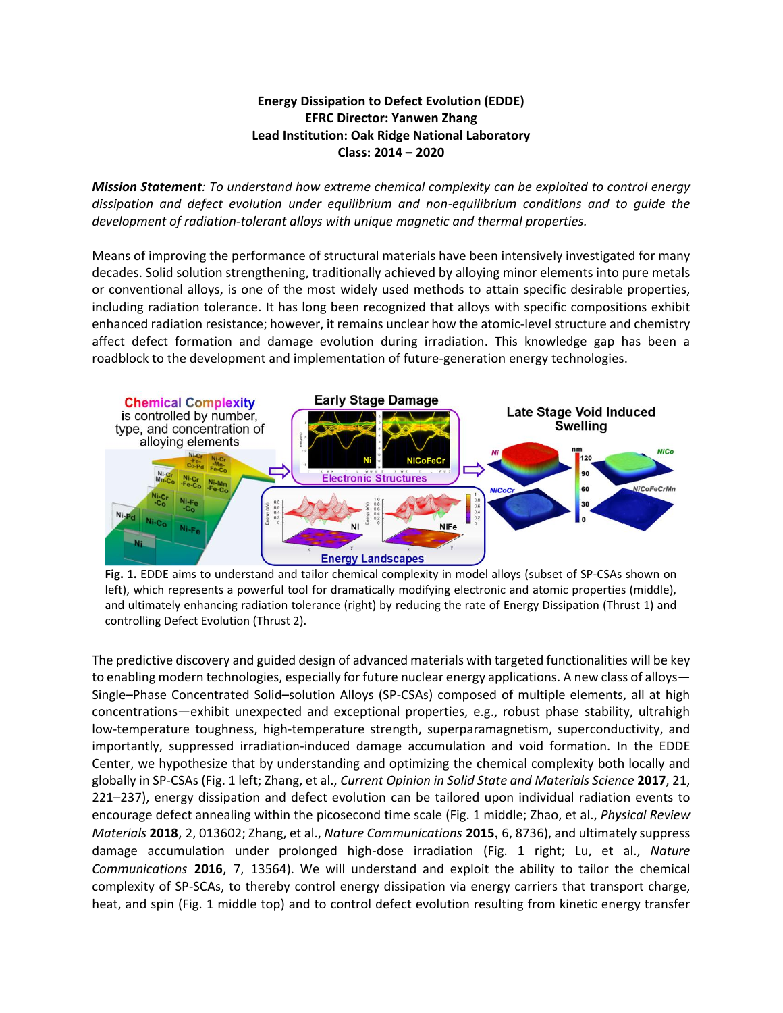## **Energy Dissipation to Defect Evolution (EDDE) EFRC Director: Yanwen Zhang Lead Institution: Oak Ridge National Laboratory Class: 2014 – 2020**

*Mission Statement: To understand how extreme chemical complexity can be exploited to control energy dissipation and defect evolution under equilibrium and non-equilibrium conditions and to guide the development of radiation-tolerant alloys with unique magnetic and thermal properties.*

Means of improving the performance of structural materials have been intensively investigated for many decades. Solid solution strengthening, traditionally achieved by alloying minor elements into pure metals or conventional alloys, is one of the most widely used methods to attain specific desirable properties, including radiation tolerance. It has long been recognized that alloys with specific compositions exhibit enhanced radiation resistance; however, it remains unclear how the atomic-level structure and chemistry affect defect formation and damage evolution during irradiation. This knowledge gap has been a roadblock to the development and implementation of future-generation energy technologies.





The predictive discovery and guided design of advanced materials with targeted functionalities will be key to enabling modern technologies, especially for future nuclear energy applications. A new class of alloys— Single–Phase Concentrated Solid–solution Alloys (SP-CSAs) composed of multiple elements, all at high concentrations—exhibit unexpected and exceptional properties, e.g., robust phase stability, ultrahigh low-temperature toughness, high-temperature strength, superparamagnetism, superconductivity, and importantly, suppressed irradiation-induced damage accumulation and void formation. In the EDDE Center, we hypothesize that by understanding and optimizing the chemical complexity both locally and globally in SP-CSAs (Fig. 1 left; Zhang, et al., *Current Opinion in Solid State and Materials Science* **2017**, 21, 221–237), energy dissipation and defect evolution can be tailored upon individual radiation events to encourage defect annealing within the picosecond time scale (Fig. 1 middle; Zhao, et al., *Physical Review Materials* **2018**, 2, 013602; Zhang, et al., *Nature Communications* **2015**, 6, 8736), and ultimately suppress damage accumulation under prolonged high-dose irradiation (Fig. 1 right; Lu, et al., *Nature Communications* **2016**, 7, 13564). We will understand and exploit the ability to tailor the chemical complexity of SP-SCAs, to thereby control energy dissipation via energy carriers that transport charge, heat, and spin (Fig. 1 middle top) and to control defect evolution resulting from kinetic energy transfer